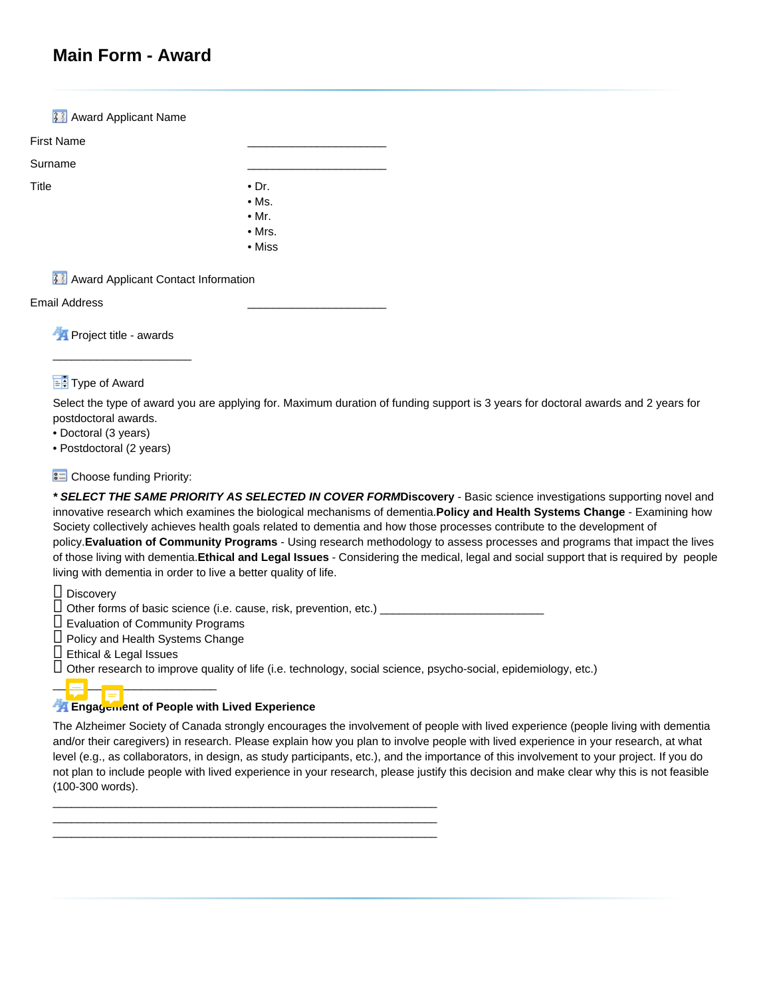# **Main Form - Award**

**33** Award Applicant Name First Name \_\_\_\_\_\_\_\_\_\_\_\_\_\_\_\_\_\_\_\_\_\_ Surname \_\_\_\_\_\_\_\_\_\_\_\_\_\_\_\_\_\_\_\_\_\_ Title **• Dr.** • Ms. • Mr. • Mrs. • Miss

**33** Award Applicant Contact Information

Email Address \_\_\_\_\_\_\_\_\_\_\_\_\_\_\_\_\_\_\_\_\_\_

**Project title - awards** 

\_\_\_\_\_\_\_\_\_\_\_\_\_\_\_\_\_\_\_\_\_\_

## $\overline{\mathbf{F}}$  Type of Award

Select the type of award you are applying for. Maximum duration of funding support is 3 years for doctoral awards and 2 years for postdoctoral awards.

• Doctoral (3 years)

• Postdoctoral (2 years)

## **SED** Choose funding Priority:

**\* SELECT THE SAME PRIORITY AS SELECTED IN COVER FORMDiscovery** - Basic science investigations supporting novel and innovative research which examines the biological mechanisms of dementia.**Policy and Health Systems Change** - Examining how Society collectively achieves health goals related to dementia and how those processes contribute to the development of policy.**Evaluation of Community Programs** - Using research methodology to assess processes and programs that impact the lives of those living with dementia.**Ethical and Legal Issues** - Considering the medical, legal and social support that is required by people living with dementia in order to live a better quality of life.

 $\square$  Discovery

○ Other forms of basic science (i.e. cause, risk, prevention, etc.) \_\_\_\_\_\_\_\_\_\_\_\_\_\_\_\_\_\_\_\_\_\_\_\_\_\_

 $\square$  Evaluation of Community Programs

 $\Box$  Policy and Health Systems Change

\_\_\_\_\_\_\_\_\_\_\_\_\_\_\_\_\_\_\_\_\_\_\_\_\_\_

 $\Box$  Ethical & Legal Issues

 $\Box$  Other research to improve quality of life (i.e. technology, social science, psycho-social, epidemiology, etc.)

## **Engagement of People with Lived Experience**

\_\_\_\_\_\_\_\_\_\_\_\_\_\_\_\_\_\_\_\_\_\_\_\_\_\_\_\_\_\_\_\_\_\_\_\_\_\_\_\_\_\_\_\_\_\_\_\_\_\_\_\_\_\_\_\_\_\_\_\_\_ \_\_\_\_\_\_\_\_\_\_\_\_\_\_\_\_\_\_\_\_\_\_\_\_\_\_\_\_\_\_\_\_\_\_\_\_\_\_\_\_\_\_\_\_\_\_\_\_\_\_\_\_\_\_\_\_\_\_\_\_\_ \_\_\_\_\_\_\_\_\_\_\_\_\_\_\_\_\_\_\_\_\_\_\_\_\_\_\_\_\_\_\_\_\_\_\_\_\_\_\_\_\_\_\_\_\_\_\_\_\_\_\_\_\_\_\_\_\_\_\_\_\_

The Alzheimer Society of Canada strongly encourages the involvement of people with lived experience (people living with dementia and/or their caregivers) in research. Please explain how you plan to involve people with lived experience in your research, at what level (e.g., as collaborators, in design, as study participants, etc.), and the importance of this involvement to your project. If you do not plan to include people with lived experience in your research, please justify this decision and make clear why this is not feasible (100-300 words).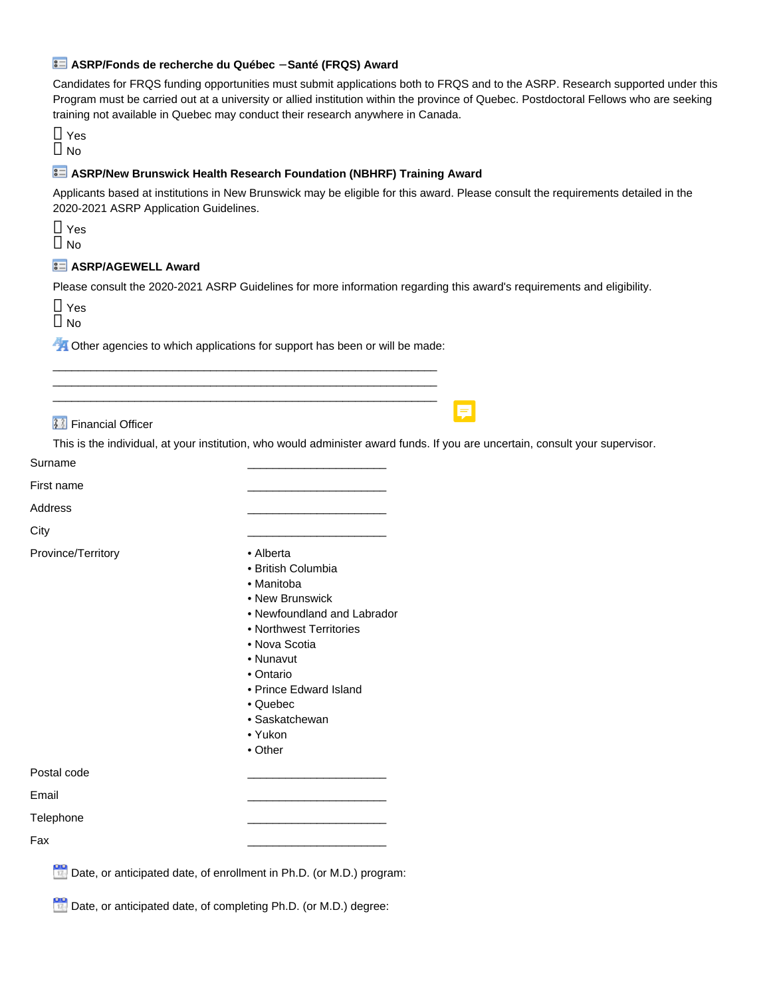#### **ASRP/Fonds de recherche du Québec** − **Santé (FRQS) Award**

Candidates for FRQS funding opportunities must submit applications both to FRQS and to the ASRP. Research supported under this Program must be carried out at a university or allied institution within the province of Quebec. Postdoctoral Fellows who are seeking training not available in Quebec may conduct their research anywhere in Canada.

○ Yes  $\Box$  No

#### **ASRP/New Brunswick Health Research Foundation (NBHRF) Training Award**

Applicants based at institutions in New Brunswick may be eligible for this award. Please consult the requirements detailed in the 2020-2021 ASRP Application Guidelines.

 $\Box$  Yes  $\Box$  No

## **ASRP/AGEWELL Award**

Please consult the 2020-2021 ASRP Guidelines for more information regarding this award's requirements and eligibility.

○ Yes  $\Box$  No

**A** Other agencies to which applications for support has been or will be made: \_\_\_\_\_\_\_\_\_\_\_\_\_\_\_\_\_\_\_\_\_\_\_\_\_\_\_\_\_\_\_\_\_\_\_\_\_\_\_\_\_\_\_\_\_\_\_\_\_\_\_\_\_\_\_\_\_\_\_\_\_

\_\_\_\_\_\_\_\_\_\_\_\_\_\_\_\_\_\_\_\_\_\_\_\_\_\_\_\_\_\_\_\_\_\_\_\_\_\_\_\_\_\_\_\_\_\_\_\_\_\_\_\_\_\_\_\_\_\_\_\_\_ \_\_\_\_\_\_\_\_\_\_\_\_\_\_\_\_\_\_\_\_\_\_\_\_\_\_\_\_\_\_\_\_\_\_\_\_\_\_\_\_\_\_\_\_\_\_\_\_\_\_\_\_\_\_\_\_\_\_\_\_\_

**33** Financial Officer

This is the individual, at your institution, who would administer award funds. If you are uncertain, consult your supervisor.

Surname

First name \_\_\_\_\_\_\_\_\_\_\_\_\_\_\_\_\_\_\_\_\_\_

Address \_\_\_\_\_\_\_\_\_\_\_\_\_\_\_\_\_\_\_\_\_\_

City \_\_\_\_\_\_\_\_\_\_\_\_\_\_\_\_\_\_\_\_\_\_

Province/Territory **• Alberta** 

- 
- British Columbia
- Manitoba
- New Brunswick
- Newfoundland and Labrador
- Northwest Territories
- Nova Scotia
- Nunavut
- Ontario
- Prince Edward Island
- Quebec
- Saskatchewan
- Yukon
- Other

Postal code \_\_\_\_\_\_\_\_\_\_\_\_\_\_\_\_\_\_\_\_\_\_

Email \_\_\_\_\_\_\_\_\_\_\_\_\_\_\_\_\_\_\_\_\_\_

Telephone \_\_\_\_\_\_\_\_\_\_\_\_\_\_\_\_\_\_\_\_\_\_

Fax \_\_\_\_\_\_\_\_\_\_\_\_\_\_\_\_\_\_\_\_\_\_

Date, or anticipated date, of enrollment in Ph.D. (or M.D.) program:

De Date, or anticipated date, of completing Ph.D. (or M.D.) degree: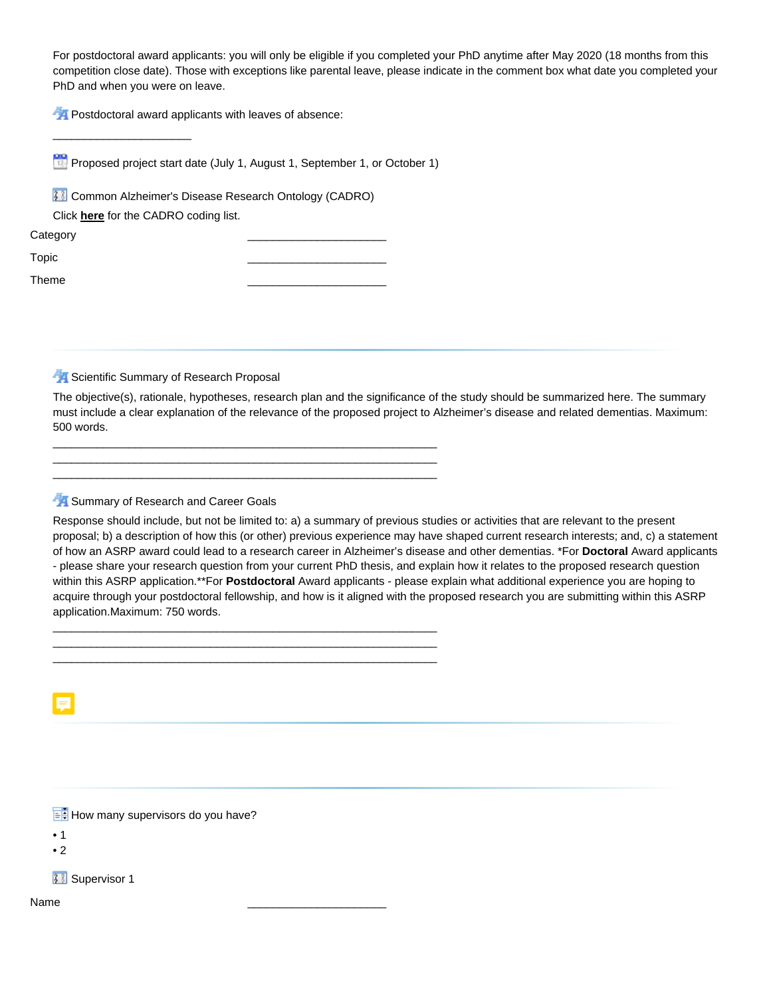For postdoctoral award applicants: you will only be eligible if you completed your PhD anytime after May 2020 (18 months from this competition close date). Those with exceptions like parental leave, please indicate in the comment box what date you completed your PhD and when you were on leave.

**PA** Postdoctoral award applicants with leaves of absence:

**Proposed project start date (July 1, August 1, September 1, or October 1)** 

\_\_\_\_\_\_\_\_\_\_\_\_\_\_\_\_\_\_\_\_\_\_\_\_\_\_\_\_\_\_\_\_\_\_\_\_\_\_\_\_\_\_\_\_\_\_\_\_\_\_\_\_\_\_\_\_\_\_\_\_\_ \_\_\_\_\_\_\_\_\_\_\_\_\_\_\_\_\_\_\_\_\_\_\_\_\_\_\_\_\_\_\_\_\_\_\_\_\_\_\_\_\_\_\_\_\_\_\_\_\_\_\_\_\_\_\_\_\_\_\_\_\_ \_\_\_\_\_\_\_\_\_\_\_\_\_\_\_\_\_\_\_\_\_\_\_\_\_\_\_\_\_\_\_\_\_\_\_\_\_\_\_\_\_\_\_\_\_\_\_\_\_\_\_\_\_\_\_\_\_\_\_\_\_

\_\_\_\_\_\_\_\_\_\_\_\_\_\_\_\_\_\_\_\_\_\_\_\_\_\_\_\_\_\_\_\_\_\_\_\_\_\_\_\_\_\_\_\_\_\_\_\_\_\_\_\_\_\_\_\_\_\_\_\_\_ \_\_\_\_\_\_\_\_\_\_\_\_\_\_\_\_\_\_\_\_\_\_\_\_\_\_\_\_\_\_\_\_\_\_\_\_\_\_\_\_\_\_\_\_\_\_\_\_\_\_\_\_\_\_\_\_\_\_\_\_\_ \_\_\_\_\_\_\_\_\_\_\_\_\_\_\_\_\_\_\_\_\_\_\_\_\_\_\_\_\_\_\_\_\_\_\_\_\_\_\_\_\_\_\_\_\_\_\_\_\_\_\_\_\_\_\_\_\_\_\_\_\_

**33** Common Alzheimer's Disease Research Ontology (CADRO)

Click **[here](http://www.nia.nih.gov/research/dn/common-alzheimers-disease-research-ontology-cadro)** for the CADRO coding list.

\_\_\_\_\_\_\_\_\_\_\_\_\_\_\_\_\_\_\_\_\_\_

Category

Topic \_\_\_\_\_\_\_\_\_\_\_\_\_\_\_\_\_\_\_\_\_\_

Theme \_\_\_\_\_\_\_\_\_\_\_\_\_\_\_\_\_\_\_\_\_\_

Scientific Summary of Research Proposal

The objective(s), rationale, hypotheses, research plan and the significance of the study should be summarized here. The summary must include a clear explanation of the relevance of the proposed project to Alzheimer's disease and related dementias. Maximum: 500 words.

Summary of Research and Career Goals

Response should include, but not be limited to: a) a summary of previous studies or activities that are relevant to the present proposal; b) a description of how this (or other) previous experience may have shaped current research interests; and, c) a statement of how an ASRP award could lead to a research career in Alzheimer's disease and other dementias. \*For **Doctoral** Award applicants - please share your research question from your current PhD thesis, and explain how it relates to the proposed research question within this ASRP application.\*\*For **Postdoctoral** Award applicants - please explain what additional experience you are hoping to acquire through your postdoctoral fellowship, and how is it aligned with the proposed research you are submitting within this ASRP application.Maximum: 750 words.

 $\mathbb{H}$  How many supervisors do you have?

- 1
- 2

**33** Supervisor 1

Name \_\_\_\_\_\_\_\_\_\_\_\_\_\_\_\_\_\_\_\_\_\_